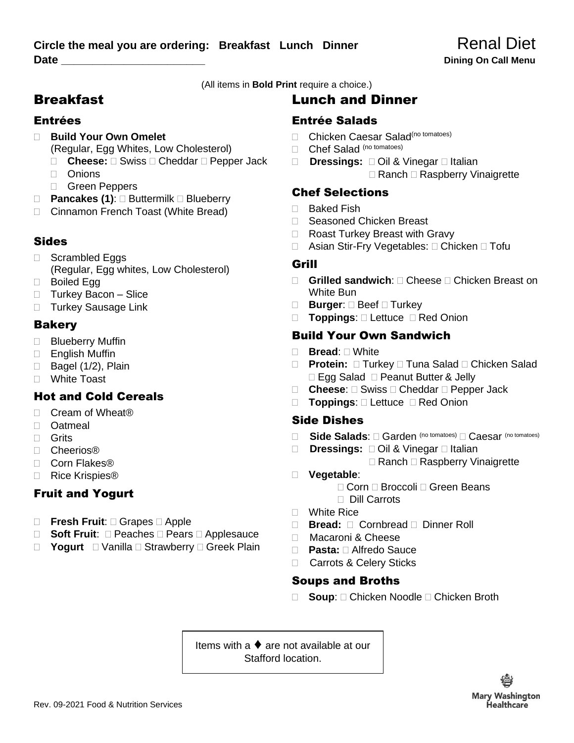(All items in **Bold Print** require a choice.)

# **Breakfast**

#### Entrées

- **Build Your Own Omelet** 
	- (Regular, Egg Whites, Low Cholesterol)
	- □ **Cheese:** □ Swiss □ Cheddar □ Pepper Jack
	- Onions
	- Green Peppers
- □ **Pancakes (1)**: □ Buttermilk □ Blueberry
- □ Cinnamon French Toast (White Bread)

### Sides

- □ Scrambled Eggs (Regular, Egg whites, Low Cholesterol)
- □ Boiled Egg
- □ Turkey Bacon Slice
- □ Turkey Sausage Link

#### **Bakery**

- **Blueberry Muffin**
- □ English Muffin
- $\Box$  Bagel (1/2), Plain
- White Toast

## Hot and Cold Cereals

- □ Cream of Wheat<sup>®</sup>
- □ Oatmeal
- □ Grits
- Cheerios®
- □ Corn Flakes®
- □ Rice Krispies<sup>®</sup>

### Fruit and Yogurt

- □ **Fresh Fruit:** □ Grapes □ Apple
- □ **Soft Fruit**: □ Peaches □ Pears □ Applesauce
- □ **Yogurt** □ Vanilla □ Strawberry □ Greek Plain

# Lunch and Dinner

### Entrée Salads

- Chicken Caesar Salad<sup>(no tomatoes)</sup>
- Chef Salad (no tomatoes)
- □ **Dressings:** □ Oil & Vinegar □ Italian  $\Box$  Ranch  $\Box$  Raspberry Vinaigrette

### Chef Selections

- □ Baked Fish
- □ Seasoned Chicken Breast
- □ Roast Turkey Breast with Gravy
- □ Asian Stir-Fry Vegetables: □ Chicken □ Tofu

#### Grill

- □ **Grilled sandwich**: □ Cheese □ Chicken Breast on White Bun
- **□ Burger:** □ Beef □ Turkey
- □ **Toppings**: □ Lettuce □ Red Onion

### Build Your Own Sandwich

- **Bread**: White
- □ **Protein:** □ Turkey □ Tuna Salad □ Chicken Salad  $\Box$  Egg Salad  $\Box$  Peanut Butter & Jelly
- □ **Cheese**: □ Swiss □ Cheddar □ Pepper Jack
- □ **Toppings**: □ Lettuce □ Red Onion

### Side Dishes

- □ Side Salads: □ Garden (no tomatoes) □ Caesar (no tomatoes)
- □ **Dressings:** □ Oil & Vinegar □ Italian
	- $\Box$  Ranch  $\Box$  Raspberry Vinaigrette
- **Vegetable**:

□ Corn □ Broccoli □ Green Beans Dill Carrots

- □ White Rice
- □ **Bread:** □ Cornbread □ Dinner Roll
- □ Macaroni & Cheese
- □ **Pasta:** □ Alfredo Sauce
- □ Carrots & Celery Sticks

### Soups and Broths

□ **Soup**: □ Chicken Noodle □ Chicken Broth

Items with a ♦ are not available at our Stafford location.